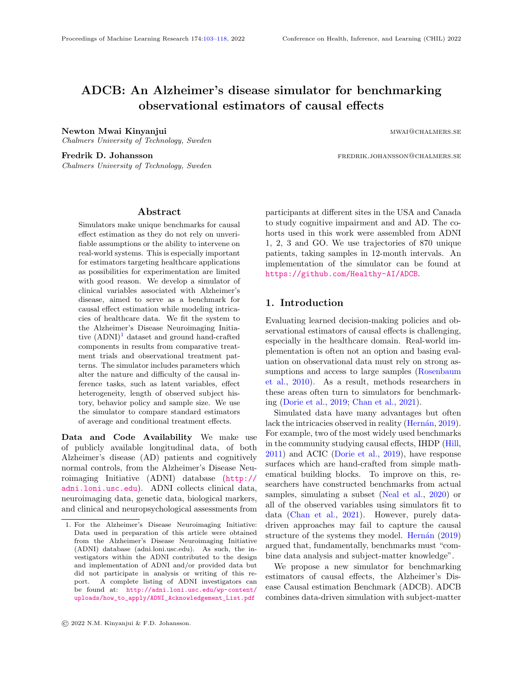# ADCB: An Alzheimer's disease simulator for benchmarking observational estimators of causal effects

Newton Mwai Kinyanjui mwaka wa 1989 hadi wakatifu wakatifu mwaka wa 1989 hadi wa 1989 hadi wa 1989 hadi wa 198

Chalmers University of Technology, Sweden

Chalmers University of Technology, Sweden

Fredrik D. Johansson **for the example of the example of the example of the example of the example of the example of the example of the example of the example of the example of the example of the example of the example of t** 

### Abstract

<span id="page-0-0"></span>Simulators make unique benchmarks for causal effect estimation as they do not rely on unverifiable assumptions or the ability to intervene on real-world systems. This is especially important for estimators targeting healthcare applications as possibilities for experimentation are limited with good reason. We develop a simulator of clinical variables associated with Alzheimer's disease, aimed to serve as a benchmark for causal effect estimation while modeling intricacies of healthcare data. We fit the system to the Alzheimer's Disease Neuroimaging Initiative  $(ADNI)^1$  $(ADNI)^1$  dataset and ground hand-crafted components in results from comparative treatment trials and observational treatment patterns. The simulator includes parameters which alter the nature and difficulty of the causal inference tasks, such as latent variables, effect heterogeneity, length of observed subject history, behavior policy and sample size. We use the simulator to compare standard estimators of average and conditional treatment effects.

Data and Code Availability We make use of publicly available longitudinal data, of both Alzheimer's disease (AD) patients and cognitively normal controls, from the Alzheimer's Disease Neuroimaging Initiative (ADNI) database ([http://](http://adni.loni.usc.edu) [adni.loni.usc.edu](http://adni.loni.usc.edu)). ADNI collects clinical data, neuroimaging data, genetic data, biological markers, and clinical and neuropsychological assessments from participants at different sites in the USA and Canada to study cognitive impairment and and AD. The cohorts used in this work were assembled from ADNI 1, 2, 3 and GO. We use trajectories of 870 unique patients, taking samples in 12-month intervals. An implementation of the simulator can be found at <https://github.com/Healthy-AI/ADCB>.

# 1. Introduction

Evaluating learned decision-making policies and observational estimators of causal effects is challenging, especially in the healthcare domain. Real-world implementation is often not an option and basing evaluation on observational data must rely on strong assumptions and access to large samples [\(Rosenbaum](#page-11-0) [et al.,](#page-11-0) [2010\)](#page-11-0). As a result, methods researchers in these areas often turn to simulators for benchmarking [\(Dorie et al.,](#page-10-0) [2019;](#page-10-0) [Chan et al.,](#page-10-1) [2021\)](#page-10-1).

Simulated data have many advantages but often lack the intricacies observed in reality (Hernán, [2019\)](#page-10-2). For example, two of the most widely used benchmarks in the community studying causal effects, IHDP [\(Hill,](#page-11-1) [2011\)](#page-11-1) and ACIC [\(Dorie et al.,](#page-10-0) [2019\)](#page-10-0), have response surfaces which are hand-crafted from simple mathematical building blocks. To improve on this, researchers have constructed benchmarks from actual samples, simulating a subset [\(Neal et al.,](#page-11-2) [2020\)](#page-11-2) or all of the observed variables using simulators fit to data [\(Chan et al.,](#page-10-1) [2021\)](#page-10-1). However, purely datadriven approaches may fail to capture the causal structure of the systems they model. Hernán  $(2019)$ argued that, fundamentally, benchmarks must "combine data analysis and subject-matter knowledge".

We propose a new simulator for benchmarking estimators of causal effects, the Alzheimer's Disease Causal estimation Benchmark (ADCB). ADCB combines data-driven simulation with subject-matter

<span id="page-0-1"></span><sup>1.</sup> For the Alzheimer's Disease Neuroimaging Initiative: Data used in preparation of this article were obtained from the Alzheimer's Disease Neuroimaging Initiative (ADNI) database (adni.loni.usc.edu). As such, the investigators within the ADNI contributed to the design and implementation of ADNI and/or provided data but did not participate in analysis or writing of this report. A complete listing of ADNI investigators can be found at: [http://adni.loni.usc.edu/wp-content/](http://adni.loni.usc.edu/wp-content/uploads/how_to_apply/ADNI_Acknowledgement_List.pdf) [uploads/how\\_to\\_apply/ADNI\\_Acknowledgement\\_List.pdf](http://adni.loni.usc.edu/wp-content/uploads/how_to_apply/ADNI_Acknowledgement_List.pdf)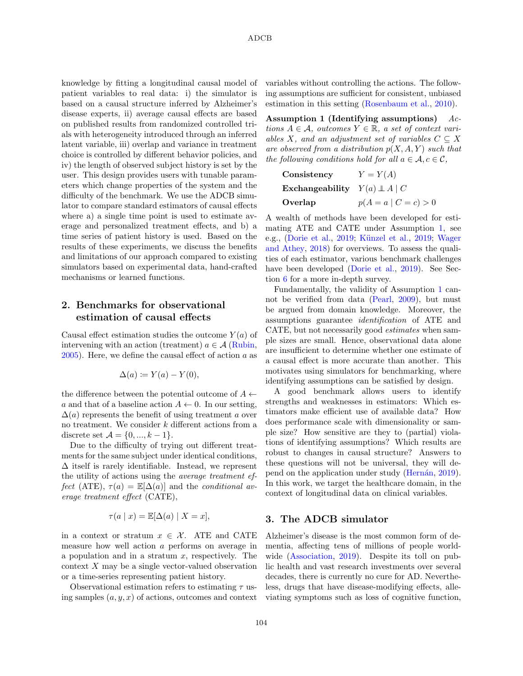knowledge by fitting a longitudinal causal model of patient variables to real data: i) the simulator is based on a causal structure inferred by Alzheimer's disease experts, ii) average causal effects are based on published results from randomized controlled trials with heterogeneity introduced through an inferred latent variable, iii) overlap and variance in treatment choice is controlled by different behavior policies, and iv) the length of observed subject history is set by the user. This design provides users with tunable parameters which change properties of the system and the difficulty of the benchmark. We use the ADCB simulator to compare standard estimators of causal effects where a) a single time point is used to estimate average and personalized treatment effects, and b) a time series of patient history is used. Based on the results of these experiments, we discuss the benefits and limitations of our approach compared to existing simulators based on experimental data, hand-crafted mechanisms or learned functions.

# 2. Benchmarks for observational estimation of causal effects

Causal effect estimation studies the outcome  $Y(a)$  of intervening with an action (treatment)  $a \in \mathcal{A}$  [\(Rubin,](#page-11-3)  $2005$ . Here, we define the causal effect of action a as

$$
\Delta(a) \coloneqq Y(a) - Y(0),
$$

the difference between the potential outcome of  $A \leftarrow$ a and that of a baseline action  $A \leftarrow 0$ . In our setting,  $\Delta(a)$  represents the benefit of using treatment a over no treatment. We consider k different actions from a discrete set  $A = \{0, ..., k - 1\}.$ 

Due to the difficulty of trying out different treatments for the same subject under identical conditions,  $\Delta$  itself is rarely identifiable. Instead, we represent the utility of actions using the average treatment effect (ATE),  $\tau(a) = \mathbb{E}[\Delta(a)]$  and the conditional average treatment effect (CATE),

$$
\tau(a \mid x) = \mathbb{E}[\Delta(a) \mid X = x],
$$

in a context or stratum  $x \in \mathcal{X}$ . ATE and CATE measure how well action a performs on average in a population and in a stratum  $x$ , respectively. The context X may be a single vector-valued observation or a time-series representing patient history.

Observational estimation refers to estimating  $\tau$  using samples  $(a, y, x)$  of actions, outcomes and context

variables without controlling the actions. The following assumptions are sufficient for consistent, unbiased estimation in this setting [\(Rosenbaum et al.,](#page-11-0) [2010\)](#page-11-0).

Assumption 1 (Identifying assumptions)  $Ac$ tions  $A \in \mathcal{A}$ , outcomes  $Y \in \mathbb{R}$ , a set of context variables X, and an adjustment set of variables  $C \subseteq X$ are observed from a distribution  $p(X, A, Y)$  such that the following conditions hold for all  $a \in \mathcal{A}, c \in \mathcal{C}$ ,

<span id="page-1-0"></span>

| Consistency                           | $Y = Y(A)$             |
|---------------------------------------|------------------------|
| Exchangeability $Y(a) \perp A \mid C$ |                        |
| Overlap                               | $p(A = a   C = c) > 0$ |

A wealth of methods have been developed for estimating ATE and CATE under Assumption [1,](#page-1-0) see e.g., [\(Dorie et al.,](#page-10-0) [2019;](#page-11-4) Künzel et al., 2019; [Wager](#page-11-5) [and Athey,](#page-11-5) [2018\)](#page-11-5) for overviews. To assess the qualities of each estimator, various benchmark challenges have been developed [\(Dorie et al.,](#page-10-0) [2019\)](#page-10-0). See Section [6](#page-7-0) for a more in-depth survey.

Fundamentally, the validity of Assumption [1](#page-1-0) cannot be verified from data [\(Pearl,](#page-11-6) [2009\)](#page-11-6), but must be argued from domain knowledge. Moreover, the assumptions guarantee identification of ATE and CATE, but not necessarily good estimates when sample sizes are small. Hence, observational data alone are insufficient to determine whether one estimate of a causal effect is more accurate than another. This motivates using simulators for benchmarking, where identifying assumptions can be satisfied by design.

A good benchmark allows users to identify strengths and weaknesses in estimators: Which estimators make efficient use of available data? How does performance scale with dimensionality or sample size? How sensitive are they to (partial) violations of identifying assumptions? Which results are robust to changes in causal structure? Answers to these questions will not be universal, they will de-pend on the application under study (Hernán, [2019\)](#page-10-2). In this work, we target the healthcare domain, in the context of longitudinal data on clinical variables.

### 3. The ADCB simulator

Alzheimer's disease is the most common form of dementia, affecting tens of millions of people world-wide [\(Association,](#page-10-3) [2019\)](#page-10-3). Despite its toll on public health and vast research investments over several decades, there is currently no cure for AD. Nevertheless, drugs that have disease-modifying effects, alleviating symptoms such as loss of cognitive function,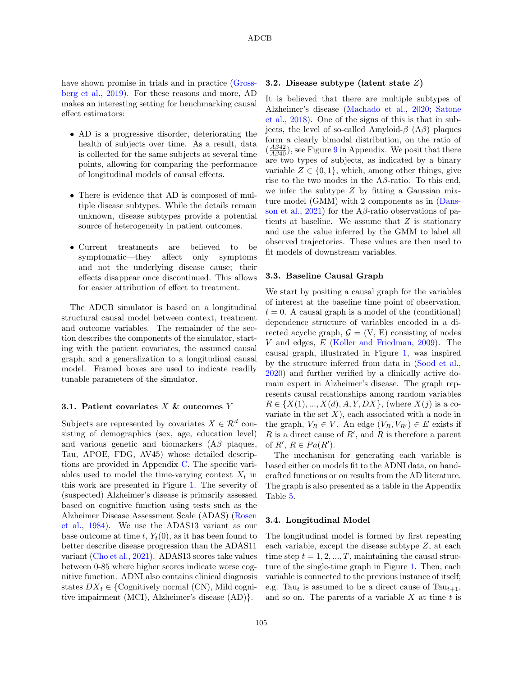have shown promise in trials and in practice [\(Gross](#page-10-4)[berg et al.,](#page-10-4) [2019\)](#page-10-4). For these reasons and more, AD makes an interesting setting for benchmarking causal effect estimators:

- AD is a progressive disorder, deteriorating the health of subjects over time. As a result, data is collected for the same subjects at several time points, allowing for comparing the performance of longitudinal models of causal effects.
- There is evidence that AD is composed of multiple disease subtypes. While the details remain unknown, disease subtypes provide a potential source of heterogeneity in patient outcomes.
- Current treatments are believed to be symptomatic—they affect only symptoms and not the underlying disease cause; their effects disappear once discontinued. This allows for easier attribution of effect to treatment.

The ADCB simulator is based on a longitudinal structural causal model between context, treatment and outcome variables. The remainder of the section describes the components of the simulator, starting with the patient covariates, the assumed causal graph, and a generalization to a longitudinal causal model. Framed boxes are used to indicate readily tunable parameters of the simulator.

#### 3.1. Patient covariates  $X \&$  outcomes  $Y$

Subjects are represented by covariates  $X \in \mathcal{R}^d$  consisting of demographics (sex, age, education level) and various genetic and biomarkers  $(A\beta)$  plaques, Tau, APOE, FDG, AV45) whose detailed descriptions are provided in Appendix [C.](#page-12-0) The specific variables used to model the time-varying context  $X_t$  in this work are presented in Figure [1.](#page-3-0) The severity of (suspected) Alzheimer's disease is primarily assessed based on cognitive function using tests such as the Alzheimer Disease Assessment Scale (ADAS) [\(Rosen](#page-11-7) [et al.,](#page-11-7) [1984\)](#page-11-7). We use the ADAS13 variant as our base outcome at time t,  $Y_t(0)$ , as it has been found to better describe disease progression than the ADAS11 variant [\(Cho et al.,](#page-10-5) [2021\)](#page-10-5). ADAS13 scores take values between 0-85 where higher scores indicate worse cognitive function. ADNI also contains clinical diagnosis states  $DX_t \in \{Copyright\}$  normal (CN), Mild cognitive impairment (MCI), Alzheimer's disease (AD)}.

### 3.2. Disease subtype (latent state Z)

It is believed that there are multiple subtypes of Alzheimer's disease [\(Machado et al.,](#page-11-8) [2020;](#page-11-8) [Satone](#page-11-9) [et al.,](#page-11-9) [2018\)](#page-11-9). One of the signs of this is that in subjects, the level of so-called Amyloid- $\beta$  (A $\beta$ ) plaques form a clearly bimodal distribution, on the ratio of  $(\frac{A\beta42}{A\beta40})$ , see Figure [9](#page-12-1) in Appendix. We posit that there are two types of subjects, as indicated by a binary variable  $Z \in \{0, 1\}$ , which, among other things, give rise to the two modes in the  $A\beta$ -ratio. To this end, we infer the subtype  $Z$  by fitting a Gaussian mixture model (GMM) with 2 components as in [\(Dans](#page-10-6)[son et al.,](#page-10-6) [2021\)](#page-10-6) for the A $\beta$ -ratio observations of patients at baseline. We assume that  $Z$  is stationary and use the value inferred by the GMM to label all observed trajectories. These values are then used to fit models of downstream variables.

#### 3.3. Baseline Causal Graph

We start by positing a causal graph for the variables of interest at the baseline time point of observation,  $t = 0$ . A causal graph is a model of the (conditional) dependence structure of variables encoded in a directed acyclic graph,  $\mathcal{G} = (V, E)$  consisting of nodes V and edges, E [\(Koller and Friedman,](#page-11-10) [2009\)](#page-11-10). The causal graph, illustrated in Figure [1,](#page-3-0) was inspired by the structure inferred from data in [\(Sood et al.,](#page-11-11) [2020\)](#page-11-11) and further verified by a clinically active domain expert in Alzheimer's disease. The graph represents causal relationships among random variables  $R \in \{X(1), ..., X(d), A, Y, DX\}$ , (where  $X(j)$  is a covariate in the set  $X$ ), each associated with a node in the graph,  $V_R \in V$ . An edge  $(V_R, V_{R'}) \in E$  exists if R is a direct cause of  $R'$ , and R is therefore a parent of  $R', R \in Pa(R')$ .

The mechanism for generating each variable is based either on models fit to the ADNI data, on handcrafted functions or on results from the AD literature. The graph is also presented as a table in the Appendix Table [5.](#page-15-1)

#### 3.4. Longitudinal Model

The longitudinal model is formed by first repeating each variable, except the disease subtype Z, at each time step  $t = 1, 2, ..., T$ , maintaining the causal structure of the single-time graph in Figure [1.](#page-3-0) Then, each variable is connected to the previous instance of itself; e.g. Tau<sub>t</sub> is assumed to be a direct cause of Tau<sub>t+1</sub>, and so on. The parents of a variable  $X$  at time  $t$  is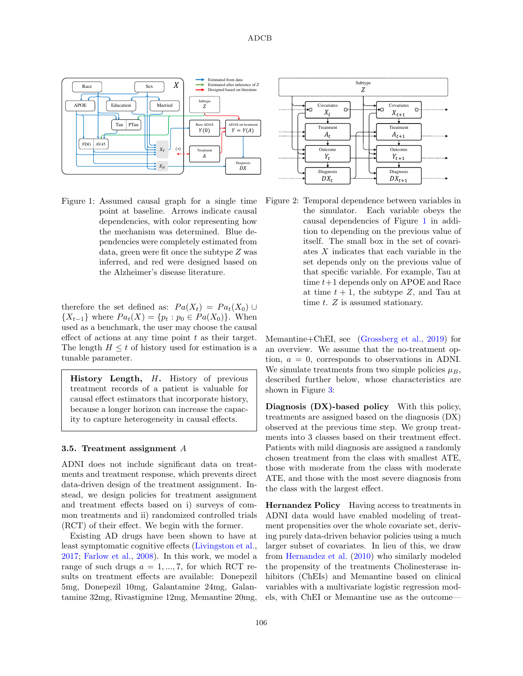

<span id="page-3-0"></span>Figure 1: Assumed causal graph for a single time point at baseline. Arrows indicate causal dependencies, with color representing how the mechanism was determined. Blue dependencies were completely estimated from data, green were fit once the subtype Z was inferred, and red were designed based on the Alzheimer's disease literature.

therefore the set defined as:  $Pa(X_t) = Pa_t(X_0) \cup$  ${X_{t-1}}$  where  $Pa_t(X) = {p_t : p_0 \in Pa(X_0)}$ . When used as a benchmark, the user may choose the causal effect of actions at any time point  $t$  as their target. The length  $H \leq t$  of history used for estimation is a tunable parameter.

History Length, H. History of previous treatment records of a patient is valuable for causal effect estimators that incorporate history, because a longer horizon can increase the capacity to capture heterogeneity in causal effects.

### 3.5. Treatment assignment A

ADNI does not include significant data on treatments and treatment response, which prevents direct data-driven design of the treatment assignment. Instead, we design policies for treatment assignment and treatment effects based on i) surveys of common treatments and ii) randomized controlled trials (RCT) of their effect. We begin with the former.

Existing AD drugs have been shown to have at least symptomatic cognitive effects [\(Livingston et al.,](#page-11-12) [2017;](#page-11-12) [Farlow et al.,](#page-10-7) [2008\)](#page-10-7). In this work, we model a range of such drugs  $a = 1, ..., 7$ , for which RCT results on treatment effects are available: Donepezil 5mg, Donepezil 10mg, Galantamine 24mg, Galantamine 32mg, Rivastigmine 12mg, Memantine 20mg,



Figure 2: Temporal dependence between variables in the simulator. Each variable obeys the causal dependencies of Figure [1](#page-3-0) in addition to depending on the previous value of itself. The small box in the set of covariates X indicates that each variable in the set depends only on the previous value of that specific variable. For example, Tau at time  $t+1$  depends only on APOE and Race at time  $t + 1$ , the subtype Z, and Tau at time t. Z is assumed stationary.

Memantine+ChEI, see [\(Grossberg et al.,](#page-10-4) [2019\)](#page-10-4) for an overview. We assume that the no-treatment option,  $a = 0$ , corresponds to observations in ADNI. We simulate treatments from two simple policies  $\mu_B$ , described further below, whose characteristics are shown in Figure [3:](#page-4-0)

Diagnosis (DX)-based policy With this policy, treatments are assigned based on the diagnosis (DX) observed at the previous time step. We group treatments into 3 classes based on their treatment effect. Patients with mild diagnosis are assigned a randomly chosen treatment from the class with smallest ATE, those with moderate from the class with moderate ATE, and those with the most severe diagnosis from the class with the largest effect.

Hernandez Policy Having access to treatments in ADNI data would have enabled modeling of treatment propensities over the whole covariate set, deriving purely data-driven behavior policies using a much larger subset of covariates. In lieu of this, we draw from [Hernandez et al.](#page-10-8) [\(2010\)](#page-10-8) who similarly modeled the propensity of the treatments Cholinesterase inhibitors (ChEIs) and Memantine based on clinical variables with a multivariate logistic regression models, with ChEI or Memantine use as the outcome—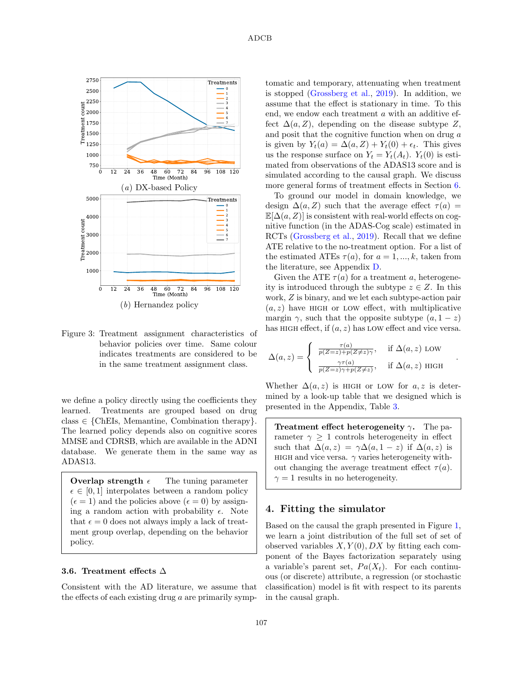

<span id="page-4-0"></span>Figure 3: Treatment assignment characteristics of behavior policies over time. Same colour indicates treatments are considered to be in the same treatment assignment class.

we define a policy directly using the coefficients they learned. Treatments are grouped based on drug class  $\in$  {ChEIs, Memantine, Combination therapy}. The learned policy depends also on cognitive scores MMSE and CDRSB, which are available in the ADNI database. We generate them in the same way as ADAS13.

**Overlap strength**  $\epsilon$  The tuning parameter  $\epsilon \in [0, 1]$  interpolates between a random policy  $(\epsilon = 1)$  and the policies above  $(\epsilon = 0)$  by assigning a random action with probability  $\epsilon$ . Note that  $\epsilon = 0$  does not always imply a lack of treatment group overlap, depending on the behavior policy.

#### 3.6. Treatment effects ∆

Consistent with the AD literature, we assume that the effects of each existing drug  $a$  are primarily symptomatic and temporary, attenuating when treatment is stopped [\(Grossberg et al.,](#page-10-4) [2019\)](#page-10-4). In addition, we assume that the effect is stationary in time. To this end, we endow each treatment a with an additive effect  $\Delta(a, Z)$ , depending on the disease subtype Z, and posit that the cognitive function when on drug a is given by  $Y_t(a) = \Delta(a, Z) + Y_t(0) + \epsilon_t$ . This gives us the response surface on  $Y_t = Y_t(A_t)$ .  $Y_t(0)$  is estimated from observations of the ADAS13 score and is simulated according to the causal graph. We discuss more general forms of treatment effects in Section [6.](#page-7-0)

To ground our model in domain knowledge, we design  $\Delta(a, Z)$  such that the average effect  $\tau(a)$  =  $\mathbb{E}[\Delta(a, Z)]$  is consistent with real-world effects on cognitive function (in the ADAS-Cog scale) estimated in RCTs [\(Grossberg et al.,](#page-10-4) [2019\)](#page-10-4). Recall that we define ATE relative to the no-treatment option. For a list of the estimated ATEs  $\tau(a)$ , for  $a = 1, ..., k$ , taken from the literature, see Appendix [D.](#page-12-2)

Given the ATE  $\tau(a)$  for a treatment a, heterogeneity is introduced through the subtype  $z \in Z$ . In this work, Z is binary, and we let each subtype-action pair  $(a, z)$  have HIGH or LOW effect, with multiplicative margin  $\gamma$ , such that the opposite subtype  $(a, 1-z)$ has HIGH effect, if  $(a, z)$  has LOW effect and vice versa.

$$
\Delta(a, z) = \begin{cases} \frac{\tau(a)}{p(Z=z) + p(Z \neq z)\gamma}, & \text{if } \Delta(a, z) \text{ LOW} \\ \frac{\gamma \tau(a)}{p(Z=z)\gamma + p(Z \neq z)}, & \text{if } \Delta(a, z) \text{ HIGH} \end{cases}
$$

.

Whether  $\Delta(a, z)$  is HIGH or LOW for a, z is determined by a look-up table that we designed which is presented in the Appendix, Table [3.](#page-12-3)

**Treatment effect heterogeneity γ.** The parameter  $\gamma \geq 1$  controls heterogeneity in effect such that  $\Delta(a, z) = \gamma \Delta(a, 1 - z)$  if  $\Delta(a, z)$  is HIGH and vice versa.  $\gamma$  varies heterogeneity without changing the average treatment effect  $\tau(a)$ .  $\gamma = 1$  results in no heterogeneity.

### 4. Fitting the simulator

Based on the causal the graph presented in Figure [1,](#page-3-0) we learn a joint distribution of the full set of set of observed variables  $X, Y(0), DX$  by fitting each component of the Bayes factorization separately using a variable's parent set,  $Pa(X_t)$ . For each continuous (or discrete) attribute, a regression (or stochastic classification) model is fit with respect to its parents in the causal graph.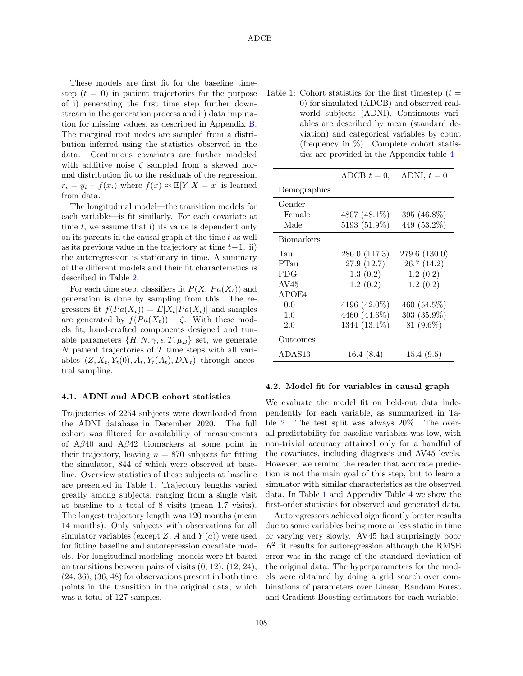These models are first fit for the baseline timestep  $(t = 0)$  in patient trajectories for the purpose of i) generating the first time step further downstream in the generation process and ii) data imputation for missing values, as described in Appendix [B.](#page-12-4) The marginal root nodes are sampled from a distribution inferred using the statistics observed in the data. Continuous covariates are further modeled with additive noise  $\zeta$  sampled from a skewed normal distribution fit to the residuals of the regression,  $r_i = y_i - f(x_i)$  where  $f(x) \approx \mathbb{E}[Y|X=x]$  is learned from data.

The longitudinal model—the transition models for each variable—is fit similarly. For each covariate at time  $t$ , we assume that i) its value is dependent only on its parents in the causal graph at the time  $t$  as well as its previous value in the trajectory at time  $t-1$ . ii) the autoregression is stationary in time. A summary of the different models and their fit characteristics is described in Table [2.](#page-6-0)

For each time step, classifiers fit  $P(X_t|Pa(X_t))$  and generation is done by sampling from this. The regressors fit  $f(Pa(X_t)) = E[X_t]Pa(X_t)]$  and samples are generated by  $f(Pa(X_t)) + \zeta$ . With these models fit, hand-crafted components designed and tunable parameters  $\{H, N, \gamma, \epsilon, T, \mu_B\}$  set, we generate  $N$  patient trajectories of  $T$  time steps with all variables  $(Z, X_t, Y_t(0), A_t, Y_t(A_t), DX_t)$  through ancestral sampling.

#### 4.1. ADNI and ADCB cohort statistics

Trajectories of 2254 subjects were downloaded from the ADNI database in December 2020. The full cohort was filtered for availability of measurements of  $A\beta 40$  and  $A\beta 42$  biomarkers at some point in their trajectory, leaving  $n = 870$  subjects for fitting the simulator, 844 of which were observed at baseline. Overview statistics of these subjects at baseline are presented in Table [1.](#page-5-0) Trajectory lengths varied greatly among subjects, ranging from a single visit at baseline to a total of 8 visits (mean 1.7 visits). The longest trajectory length was 120 months (mean 14 months). Only subjects with observations for all simulator variables (except Z, A and  $Y(a)$ ) were used for fitting baseline and autoregression covariate models. For longitudinal modeling, models were fit based on transitions between pairs of visits (0, 12), (12, 24),  $(24, 36)$ ,  $(36, 48)$  for observations present in both time points in the transition in the original data, which was a total of 127 samples.

<span id="page-5-0"></span>Table 1: Cohort statistics for the first timestep  $(t =$ 0) for simulated (ADCB) and observed realworld subjects (ADNI). Continuous variables are described by mean (standard deviation) and categorical variables by count (frequency in %). Complete cohort statistics are provided in the Appendix table [4](#page-14-0)

|                   | ADCB $t=0$ .  | ADNI, $t=0$    |
|-------------------|---------------|----------------|
| Demographics      |               |                |
| Gender            |               |                |
| Female            | 4807 (48.1%)  | 395 (46.8%)    |
| Male              | 5193 (51.9%)  | 449 (53.2%)    |
| <b>Biomarkers</b> |               |                |
| Tau               | 286.0 (117.3) | 279.6 (130.0)  |
| PTau              | 27.9 (12.7)   | 26.7(14.2)     |
| FDG               | 1.3(0.2)      | 1.2(0.2)       |
| AV45              | 1.2(0.2)      | 1.2(0.2)       |
| APOE4             |               |                |
| 0.0               | 4196 (42.0%)  | 460 $(54.5\%)$ |
| 1.0               | 4460 (44.6%)  | $303(35.9\%)$  |
| 2.0               | 1344 (13.4%)  | $81(9.6\%)$    |
| Outcomes          |               |                |
| ADAS13            | 16.4(8.4)     | 15.4 (9.5)     |

#### 4.2. Model fit for variables in causal graph

We evaluate the model fit on held-out data independently for each variable, as summarized in Table [2.](#page-6-0) The test split was always 20%. The overall predictability for baseline variables was low, with non-trivial accuracy attained only for a handful of the covariates, including diagnosis and AV45 levels. However, we remind the reader that accurate prediction is not the main goal of this step, but to learn a simulator with similar characteristics as the observed data. In Table [1](#page-5-0) and Appendix Table [4](#page-14-0) we show the first-order statistics for observed and generated data.

Autoregressors achieved significantly better results due to some variables being more or less static in time or varying very slowly. AV45 had surprisingly poor  $R^2$  fit results for autoregression although the RMSE error was in the range of the standard deviation of the original data. The hyperparameters for the models were obtained by doing a grid search over combinations of parameters over Linear, Random Forest and Gradient Boosting estimators for each variable.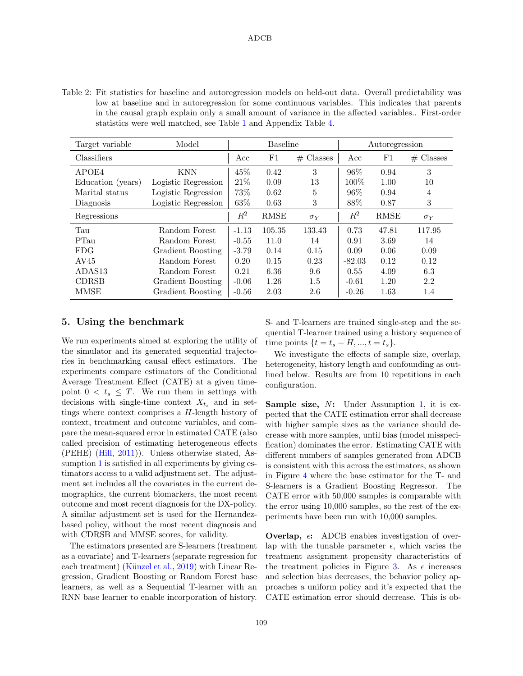### ADCB

<span id="page-6-0"></span>Table 2: Fit statistics for baseline and autoregression models on held-out data. Overall predictability was low at baseline and in autoregression for some continuous variables. This indicates that parents in the causal graph explain only a small amount of variance in the affected variables.. First-order statistics were well matched, see Table [1](#page-5-0) and Appendix Table [4.](#page-14-0)

| Target variable   | Model               |         | <b>Baseline</b> |             |          | Autoregression |             |
|-------------------|---------------------|---------|-----------------|-------------|----------|----------------|-------------|
| Classifiers       |                     | Acc     | $_{\rm F1}$     | $#$ Classes | Acc      | F1             | $#$ Classes |
| APOE4             | <b>KNN</b>          | 45\%    | 0.42            | 3           | 96\%     | 0.94           | 3           |
| Education (years) | Logistic Regression | 21%     | 0.09            | 13          | 100\%    | 1.00           | 10          |
| Marital status    | Logistic Regression | 73%     | 0.62            | 5           | 96\%     | 0.94           | 4           |
| Diagnosis         | Logistic Regression | 63%     | 0.63            | 3           | 88%      | 0.87           | 3           |
| Regressions       |                     | $R^2$   | <b>RMSE</b>     | $\sigma_Y$  | $R^2$    | <b>RMSE</b>    | $\sigma_Y$  |
| Tau               | Random Forest       | $-1.13$ | 105.35          | 133.43      | 0.73     | 47.81          | 117.95      |
| PTau              | Random Forest       | $-0.55$ | 11.0            | 14          | 0.91     | 3.69           | 14          |
| <b>FDG</b>        | Gradient Boosting   | $-3.79$ | 0.14            | 0.15        | 0.09     | 0.06           | 0.09        |
| AV45              | Random Forest       | 0.20    | 0.15            | 0.23        | $-82.03$ | 0.12           | 0.12        |
| ADAS13            | Random Forest       | 0.21    | 6.36            | 9.6         | 0.55     | 4.09           | 6.3         |
| <b>CDRSB</b>      | Gradient Boosting   | $-0.06$ | 1.26            | $1.5\,$     | $-0.61$  | 1.20           | 2.2         |
| MMSE              | Gradient Boosting   | $-0.56$ | 2.03            | 2.6         | $-0.26$  | 1.63           | 1.4         |

### 5. Using the benchmark

We run experiments aimed at exploring the utility of the simulator and its generated sequential trajectories in benchmarking causal effect estimators. The experiments compare estimators of the Conditional Average Treatment Effect (CATE) at a given timepoint  $0 < t_s \leq T$ . We run them in settings with decisions with single-time context  $X_{t_s}$  and in settings where context comprises a H-length history of context, treatment and outcome variables, and compare the mean-squared error in estimated CATE (also called precision of estimating heterogeneous effects (PEHE) [\(Hill,](#page-11-1) [2011\)](#page-11-1)). Unless otherwise stated, As-sumption [1](#page-1-0) is satisfied in all experiments by giving estimators access to a valid adjustment set. The adjustment set includes all the covariates in the current demographics, the current biomarkers, the most recent outcome and most recent diagnosis for the DX-policy. A similar adjustment set is used for the Hernandezbased policy, without the most recent diagnosis and with CDRSB and MMSE scores, for validity.

The estimators presented are S-learners (treatment as a covariate) and T-learners (separate regression for each treatment) (Künzel et al., [2019\)](#page-11-4) with Linear Regression, Gradient Boosting or Random Forest base learners, as well as a Sequential T-learner with an RNN base learner to enable incorporation of history. S- and T-learners are trained single-step and the sequential T-learner trained using a history sequence of time points  $\{t = t_s - H, ..., t = t_s\}.$ 

We investigate the effects of sample size, overlap, heterogeneity, history length and confounding as outlined below. Results are from 10 repetitions in each configuration.

Sample size, N: Under Assumption [1,](#page-1-0) it is expected that the CATE estimation error shall decrease with higher sample sizes as the variance should decrease with more samples, until bias (model misspecification) dominates the error. Estimating CATE with different numbers of samples generated from ADCB is consistent with this across the estimators, as shown in Figure [4](#page-7-1) where the base estimator for the T- and S-learners is a Gradient Boosting Regressor. The CATE error with 50,000 samples is comparable with the error using 10,000 samples, so the rest of the experiments have been run with 10,000 samples.

**Overlap,**  $\epsilon$ **:** ADCB enables investigation of overlap with the tunable parameter  $\epsilon$ , which varies the treatment assignment propensity characteristics of the treatment policies in Figure [3.](#page-4-0) As  $\epsilon$  increases and selection bias decreases, the behavior policy approaches a uniform policy and it's expected that the CATE estimation error should decrease. This is ob-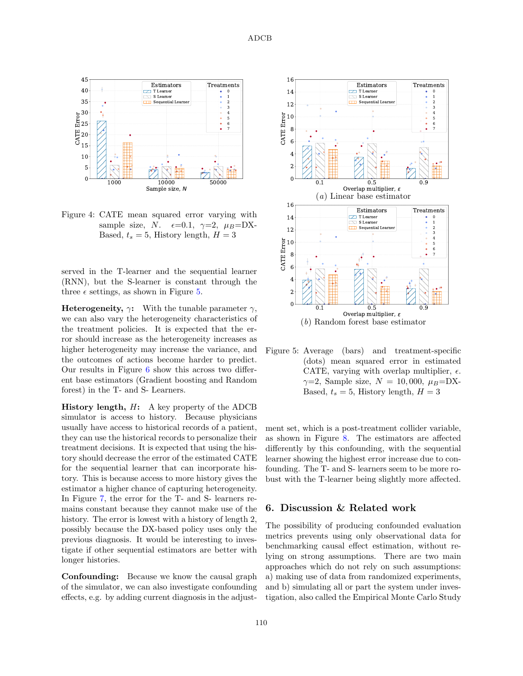

<span id="page-7-1"></span>Figure 4: CATE mean squared error varying with sample size, N.  $\epsilon=0.1$ ,  $\gamma=2$ ,  $\mu_B=DX$ -Based,  $t_s = 5$ , History length,  $H = 3$ 

served in the T-learner and the sequential learner (RNN), but the S-learner is constant through the three  $\epsilon$  settings, as shown in Figure [5.](#page-7-2)

**Heterogeneity,**  $\gamma$ **:** With the tunable parameter  $\gamma$ , we can also vary the heterogeneity characteristics of the treatment policies. It is expected that the error should increase as the heterogeneity increases as higher heterogeneity may increase the variance, and the outcomes of actions become harder to predict. Our results in Figure [6](#page-8-0) show this across two different base estimators (Gradient boosting and Random forest) in the T- and S- Learners.

History length, H: A key property of the ADCB simulator is access to history. Because physicians usually have access to historical records of a patient, they can use the historical records to personalize their treatment decisions. It is expected that using the history should decrease the error of the estimated CATE for the sequential learner that can incorporate history. This is because access to more history gives the estimator a higher chance of capturing heterogeneity. In Figure [7,](#page-8-1) the error for the T- and S- learners remains constant because they cannot make use of the history. The error is lowest with a history of length 2, possibly because the DX-based policy uses only the previous diagnosis. It would be interesting to investigate if other sequential estimators are better with longer histories.

Confounding: Because we know the causal graph of the simulator, we can also investigate confounding effects, e.g. by adding current diagnosis in the adjust-



<span id="page-7-2"></span>Figure 5: Average (bars) and treatment-specific (dots) mean squared error in estimated CATE, varying with overlap multiplier,  $\epsilon$ .  $\gamma=2$ , Sample size,  $N = 10,000, \mu_B = DX-$ Based,  $t_s = 5$ , History length,  $H = 3$ 

ment set, which is a post-treatment collider variable, as shown in Figure [8.](#page-8-2) The estimators are affected differently by this confounding, with the sequential learner showing the highest error increase due to confounding. The T- and S- learners seem to be more robust with the T-learner being slightly more affected.

# <span id="page-7-0"></span>6. Discussion & Related work

The possibility of producing confounded evaluation metrics prevents using only observational data for benchmarking causal effect estimation, without relying on strong assumptions. There are two main approaches which do not rely on such assumptions: a) making use of data from randomized experiments, and b) simulating all or part the system under investigation, also called the Empirical Monte Carlo Study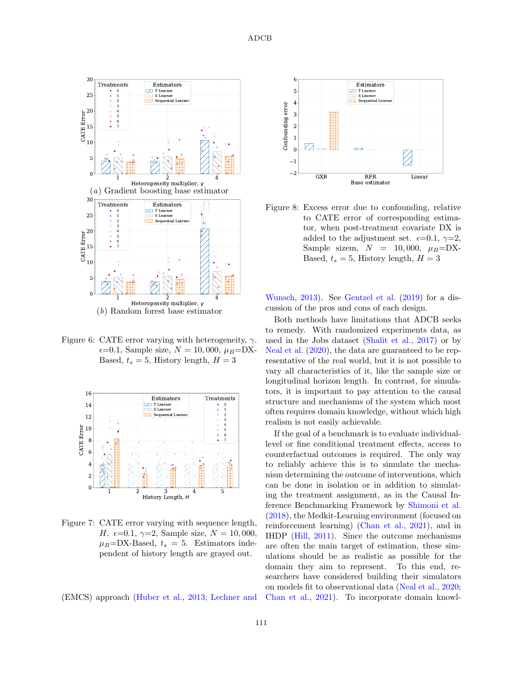

<span id="page-8-0"></span>Figure 6: CATE error varying with heterogeneity,  $\gamma$ .  $\epsilon = 0.1$ , Sample size,  $N = 10,000, \mu_B = DX-$ Based,  $t_s = 5$ , History length,  $H = 3$ 



<span id="page-8-1"></span>Figure 7: CATE error varying with sequence length, H.  $\epsilon = 0.1, \gamma = 2$ , Sample size,  $N = 10,000$ ,  $\mu_B = DX-Based, t_s = 5$ . Estimators independent of history length are grayed out.

(EMCS) approach [\(Huber et al.,](#page-11-13) [2013;](#page-11-13) [Lechner and](#page-11-14)



<span id="page-8-2"></span>Figure 8: Excess error due to confounding, relative to CATE error of corresponding estimator, when post-treatment covariate DX is added to the adjustment set.  $\epsilon = 0.1, \gamma = 2$ , Sample sizem,  $N = 10,000, \mu_B = DX-$ Based,  $t_s = 5$ , History length,  $H = 3$ 

[Wunsch,](#page-11-14) [2013\)](#page-11-14). See [Gentzel et al.](#page-10-9) [\(2019\)](#page-10-9) for a discussion of the pros and cons of each design.

Both methods have limitations that ADCB seeks to remedy. With randomized experiments data, as used in the Jobs dataset [\(Shalit et al.,](#page-11-15) [2017\)](#page-11-15) or by [Neal et al.](#page-11-2) [\(2020\)](#page-11-2), the data are guaranteed to be representative of the real world, but it is not possible to vary all characteristics of it, like the sample size or longitudinal horizon length. In contrast, for simulators, it is important to pay attention to the causal structure and mechanisms of the system which most often requires domain knowledge, without which high realism is not easily achievable.

If the goal of a benchmark is to evaluate individuallevel or fine conditional treatment effects, access to counterfactual outcomes is required. The only way to reliably achieve this is to simulate the mechanism determining the outcome of interventions, which can be done in isolation or in addition to simulating the treatment assignment, as in the Causal Inference Benchmarking Framework by [Shimoni et al.](#page-11-16) [\(2018\)](#page-11-16), the Medkit-Learning environment (focused on reinforcement learning) [\(Chan et al.,](#page-10-1) [2021\)](#page-10-1), and in IHDP [\(Hill,](#page-11-1) [2011\)](#page-11-1). Since the outcome mechanisms are often the main target of estimation, these simulations should be as realistic as possible for the domain they aim to represent. To this end, researchers have considered building their simulators on models fit to observational data [\(Neal et al.,](#page-11-2) [2020;](#page-11-2) [Chan et al.,](#page-10-1) [2021\)](#page-10-1). To incorporate domain knowl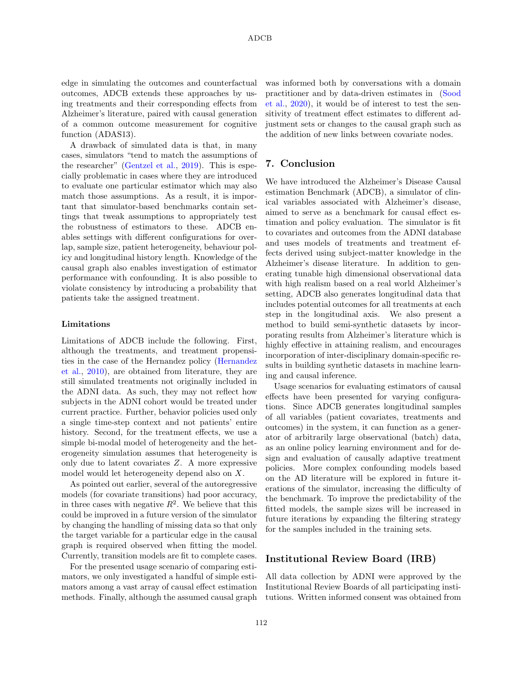edge in simulating the outcomes and counterfactual outcomes, ADCB extends these approaches by using treatments and their corresponding effects from Alzheimer's literature, paired with causal generation of a common outcome measurement for cognitive function (ADAS13).

A drawback of simulated data is that, in many cases, simulators "tend to match the assumptions of the researcher" [\(Gentzel et al.,](#page-10-9) [2019\)](#page-10-9). This is especially problematic in cases where they are introduced to evaluate one particular estimator which may also match those assumptions. As a result, it is important that simulator-based benchmarks contain settings that tweak assumptions to appropriately test the robustness of estimators to these. ADCB enables settings with different configurations for overlap, sample size, patient heterogeneity, behaviour policy and longitudinal history length. Knowledge of the causal graph also enables investigation of estimator performance with confounding. It is also possible to violate consistency by introducing a probability that patients take the assigned treatment.

#### Limitations

Limitations of ADCB include the following. First, although the treatments, and treatment propensities in the case of the Hernandez policy [\(Hernandez](#page-10-8) [et al.,](#page-10-8) [2010\)](#page-10-8), are obtained from literature, they are still simulated treatments not originally included in the ADNI data. As such, they may not reflect how subjects in the ADNI cohort would be treated under current practice. Further, behavior policies used only a single time-step context and not patients' entire history. Second, for the treatment effects, we use a simple bi-modal model of heterogeneity and the heterogeneity simulation assumes that heterogeneity is only due to latent covariates Z. A more expressive model would let heterogeneity depend also on X.

As pointed out earlier, several of the autoregressive models (for covariate transitions) had poor accuracy, in three cases with negative  $R^2$ . We believe that this could be improved in a future version of the simulator by changing the handling of missing data so that only the target variable for a particular edge in the causal graph is required observed when fitting the model. Currently, transition models are fit to complete cases.

For the presented usage scenario of comparing estimators, we only investigated a handful of simple estimators among a vast array of causal effect estimation methods. Finally, although the assumed causal graph

was informed both by conversations with a domain practitioner and by data-driven estimates in [\(Sood](#page-11-11) [et al.,](#page-11-11) [2020\)](#page-11-11), it would be of interest to test the sensitivity of treatment effect estimates to different adjustment sets or changes to the causal graph such as the addition of new links between covariate nodes.

# 7. Conclusion

We have introduced the Alzheimer's Disease Causal estimation Benchmark (ADCB), a simulator of clinical variables associated with Alzheimer's disease, aimed to serve as a benchmark for causal effect estimation and policy evaluation. The simulator is fit to covariates and outcomes from the ADNI database and uses models of treatments and treatment effects derived using subject-matter knowledge in the Alzheimer's disease literature. In addition to generating tunable high dimensional observational data with high realism based on a real world Alzheimer's setting, ADCB also generates longitudinal data that includes potential outcomes for all treatments at each step in the longitudinal axis. We also present a method to build semi-synthetic datasets by incorporating results from Alzheimer's literature which is highly effective in attaining realism, and encourages incorporation of inter-disciplinary domain-specific results in building synthetic datasets in machine learning and causal inference.

Usage scenarios for evaluating estimators of causal effects have been presented for varying configurations. Since ADCB generates longitudinal samples of all variables (patient covariates, treatments and outcomes) in the system, it can function as a generator of arbitrarily large observational (batch) data, as an online policy learning environment and for design and evaluation of causally adaptive treatment policies. More complex confounding models based on the AD literature will be explored in future iterations of the simulator, increasing the difficulty of the benchmark. To improve the predictability of the fitted models, the sample sizes will be increased in future iterations by expanding the filtering strategy for the samples included in the training sets.

# Institutional Review Board (IRB)

All data collection by ADNI were approved by the Institutional Review Boards of all participating institutions. Written informed consent was obtained from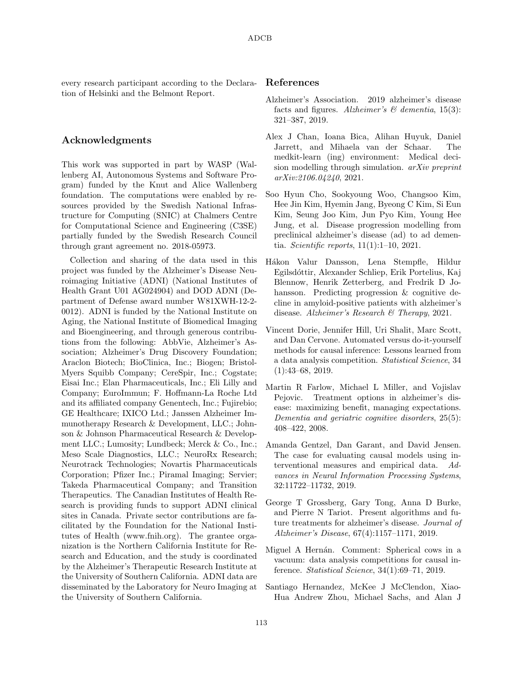every research participant according to the Declaration of Helsinki and the Belmont Report.

### Acknowledgments

This work was supported in part by WASP (Wallenberg AI, Autonomous Systems and Software Program) funded by the Knut and Alice Wallenberg foundation. The computations were enabled by resources provided by the Swedish National Infrastructure for Computing (SNIC) at Chalmers Centre for Computational Science and Engineering (C3SE) partially funded by the Swedish Research Council through grant agreement no. 2018-05973.

Collection and sharing of the data used in this project was funded by the Alzheimer's Disease Neuroimaging Initiative (ADNI) (National Institutes of Health Grant U01 AG024904) and DOD ADNI (Department of Defense award number W81XWH-12-2- 0012). ADNI is funded by the National Institute on Aging, the National Institute of Biomedical Imaging and Bioengineering, and through generous contributions from the following: AbbVie, Alzheimer's Association; Alzheimer's Drug Discovery Foundation; Araclon Biotech; BioClinica, Inc.; Biogen; Bristol-Myers Squibb Company; CereSpir, Inc.; Cogstate; Eisai Inc.; Elan Pharmaceuticals, Inc.; Eli Lilly and Company; EuroImmun; F. Hoffmann-La Roche Ltd and its affiliated company Genentech, Inc.; Fujirebio; GE Healthcare; IXICO Ltd.; Janssen Alzheimer Immunotherapy Research & Development, LLC.; Johnson & Johnson Pharmaceutical Research & Development LLC.; Lumosity; Lundbeck; Merck & Co., Inc.; Meso Scale Diagnostics, LLC.; NeuroRx Research; Neurotrack Technologies; Novartis Pharmaceuticals Corporation; Pfizer Inc.; Piramal Imaging; Servier; Takeda Pharmaceutical Company; and Transition Therapeutics. The Canadian Institutes of Health Research is providing funds to support ADNI clinical sites in Canada. Private sector contributions are facilitated by the Foundation for the National Institutes of Health (www.fnih.org). The grantee organization is the Northern California Institute for Research and Education, and the study is coordinated by the Alzheimer's Therapeutic Research Institute at the University of Southern California. ADNI data are disseminated by the Laboratory for Neuro Imaging at the University of Southern California.

#### References

- <span id="page-10-3"></span>Alzheimer's Association. 2019 alzheimer's disease facts and figures. Alzheimer's  $\mathcal{B}$  dementia, 15(3): 321–387, 2019.
- <span id="page-10-1"></span>Alex J Chan, Ioana Bica, Alihan Huyuk, Daniel Jarrett, and Mihaela van der Schaar. The medkit-learn (ing) environment: Medical decision modelling through simulation. arXiv preprint arXiv:2106.04240, 2021.
- <span id="page-10-5"></span>Soo Hyun Cho, Sookyoung Woo, Changsoo Kim, Hee Jin Kim, Hyemin Jang, Byeong C Kim, Si Eun Kim, Seung Joo Kim, Jun Pyo Kim, Young Hee Jung, et al. Disease progression modelling from preclinical alzheimer's disease (ad) to ad dementia. *Scientific reports*,  $11(1):1-10$ , 2021.
- <span id="page-10-6"></span>H´akon Valur Dansson, Lena Stempfle, Hildur Egilsd´ottir, Alexander Schliep, Erik Portelius, Kaj Blennow, Henrik Zetterberg, and Fredrik D Johansson. Predicting progression & cognitive decline in amyloid-positive patients with alzheimer's disease. Alzheimer's Research & Therapy, 2021.
- <span id="page-10-0"></span>Vincent Dorie, Jennifer Hill, Uri Shalit, Marc Scott, and Dan Cervone. Automated versus do-it-yourself methods for causal inference: Lessons learned from a data analysis competition. Statistical Science, 34 (1):43–68, 2019.
- <span id="page-10-7"></span>Martin R Farlow, Michael L Miller, and Vojislav Pejovic. Treatment options in alzheimer's disease: maximizing benefit, managing expectations. Dementia and geriatric cognitive disorders, 25(5): 408–422, 2008.
- <span id="page-10-9"></span>Amanda Gentzel, Dan Garant, and David Jensen. The case for evaluating causal models using interventional measures and empirical data. Advances in Neural Information Processing Systems, 32:11722–11732, 2019.
- <span id="page-10-4"></span>George T Grossberg, Gary Tong, Anna D Burke, and Pierre N Tariot. Present algorithms and future treatments for alzheimer's disease. Journal of Alzheimer's Disease, 67(4):1157–1171, 2019.
- <span id="page-10-2"></span>Miguel A Hernán. Comment: Spherical cows in a vacuum: data analysis competitions for causal inference. Statistical Science, 34(1):69–71, 2019.
- <span id="page-10-8"></span>Santiago Hernandez, McKee J McClendon, Xiao-Hua Andrew Zhou, Michael Sachs, and Alan J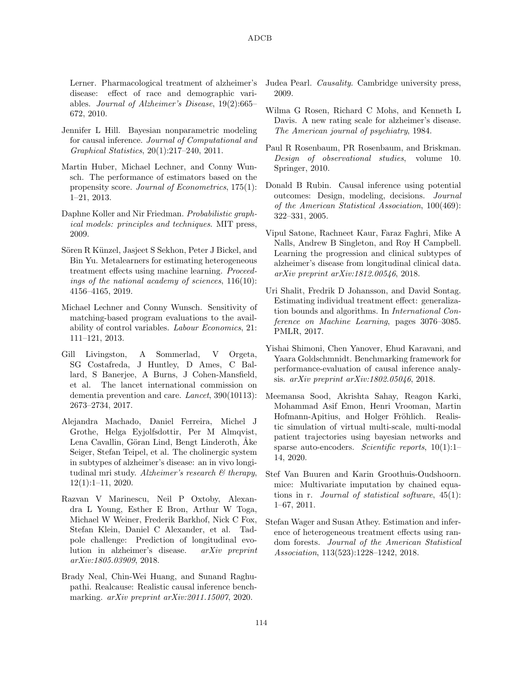Lerner. Pharmacological treatment of alzheimer's disease: effect of race and demographic variables. Journal of Alzheimer's Disease, 19(2):665– 672, 2010.

- <span id="page-11-1"></span>Jennifer L Hill. Bayesian nonparametric modeling for causal inference. Journal of Computational and Graphical Statistics, 20(1):217–240, 2011.
- <span id="page-11-13"></span>Martin Huber, Michael Lechner, and Conny Wunsch. The performance of estimators based on the propensity score. Journal of Econometrics, 175(1): 1–21, 2013.
- <span id="page-11-10"></span>Daphne Koller and Nir Friedman. Probabilistic graphical models: principles and techniques. MIT press, 2009.
- <span id="page-11-4"></span>Sören R Künzel, Jasjeet S Sekhon, Peter J Bickel, and Bin Yu. Metalearners for estimating heterogeneous treatment effects using machine learning. Proceedings of the national academy of sciences, 116(10): 4156–4165, 2019.
- <span id="page-11-14"></span>Michael Lechner and Conny Wunsch. Sensitivity of matching-based program evaluations to the availability of control variables. Labour Economics, 21: 111–121, 2013.
- <span id="page-11-12"></span>Gill Livingston, A Sommerlad, V Orgeta, SG Costafreda, J Huntley, D Ames, C Ballard, S Banerjee, A Burns, J Cohen-Mansfield, et al. The lancet international commission on dementia prevention and care. Lancet, 390(10113): 2673–2734, 2017.
- <span id="page-11-8"></span>Alejandra Machado, Daniel Ferreira, Michel J Grothe, Helga Eyjolfsdottir, Per M Almqvist, Lena Cavallin, Göran Lind, Bengt Linderoth, Åke Seiger, Stefan Teipel, et al. The cholinergic system in subtypes of alzheimer's disease: an in vivo longitudinal mri study. Alzheimer's research  $\mathcal{B}$  therapy, 12(1):1–11, 2020.
- <span id="page-11-18"></span>Razvan V Marinescu, Neil P Oxtoby, Alexandra L Young, Esther E Bron, Arthur W Toga, Michael W Weiner, Frederik Barkhof, Nick C Fox, Stefan Klein, Daniel C Alexander, et al. Tadpole challenge: Prediction of longitudinal evolution in alzheimer's disease. arXiv preprint arXiv:1805.03909, 2018.
- <span id="page-11-2"></span>Brady Neal, Chin-Wei Huang, and Sunand Raghupathi. Realcause: Realistic causal inference benchmarking. *arXiv preprint arXiv:2011.15007*, 2020.
- <span id="page-11-6"></span>Judea Pearl. Causality. Cambridge university press, 2009.
- <span id="page-11-7"></span>Wilma G Rosen, Richard C Mohs, and Kenneth L Davis. A new rating scale for alzheimer's disease. The American journal of psychiatry, 1984.
- <span id="page-11-0"></span>Paul R Rosenbaum, PR Rosenbaum, and Briskman. Design of observational studies, volume 10. Springer, 2010.
- <span id="page-11-3"></span>Donald B Rubin. Causal inference using potential outcomes: Design, modeling, decisions. Journal of the American Statistical Association, 100(469): 322–331, 2005.
- <span id="page-11-9"></span>Vipul Satone, Rachneet Kaur, Faraz Faghri, Mike A Nalls, Andrew B Singleton, and Roy H Campbell. Learning the progression and clinical subtypes of alzheimer's disease from longitudinal clinical data. arXiv preprint arXiv:1812.00546, 2018.
- <span id="page-11-15"></span>Uri Shalit, Fredrik D Johansson, and David Sontag. Estimating individual treatment effect: generalization bounds and algorithms. In International Conference on Machine Learning, pages 3076–3085. PMLR, 2017.
- <span id="page-11-16"></span>Yishai Shimoni, Chen Yanover, Ehud Karavani, and Yaara Goldschmnidt. Benchmarking framework for performance-evaluation of causal inference analysis. arXiv preprint arXiv:1802.05046, 2018.
- <span id="page-11-11"></span>Meemansa Sood, Akrishta Sahay, Reagon Karki, Mohammad Asif Emon, Henri Vrooman, Martin Hofmann-Apitius, and Holger Fröhlich. Realistic simulation of virtual multi-scale, multi-modal patient trajectories using bayesian networks and sparse auto-encoders. Scientific reports, 10(1):1– 14, 2020.
- <span id="page-11-17"></span>Stef Van Buuren and Karin Groothuis-Oudshoorn. mice: Multivariate imputation by chained equations in r. Journal of statistical software, 45(1): 1–67, 2011.
- <span id="page-11-5"></span>Stefan Wager and Susan Athey. Estimation and inference of heterogeneous treatment effects using random forests. Journal of the American Statistical Association, 113(523):1228–1242, 2018.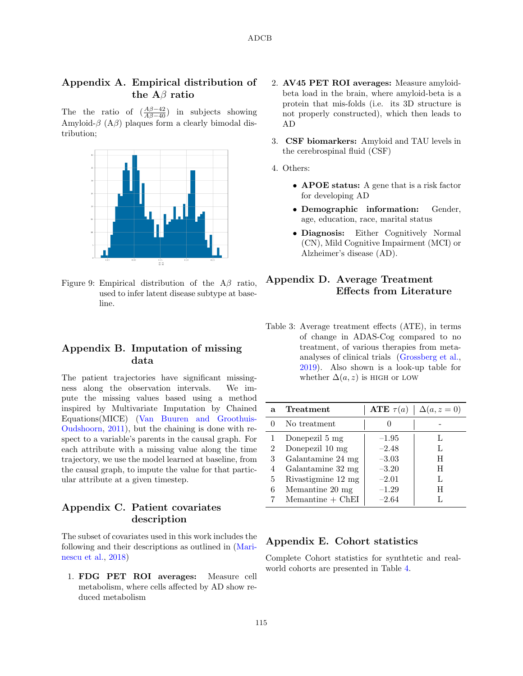# Appendix A. Empirical distribution of the  $A\beta$  ratio

The the ratio of  $\left(\frac{A\beta-42}{A\beta-40}\right)$  in subjects showing Amyloid- $\beta$  (A $\beta$ ) plaques form a clearly bimodal distribution;



<span id="page-12-1"></span>Figure 9: Empirical distribution of the  $A\beta$  ratio, used to infer latent disease subtype at baseline.

# <span id="page-12-4"></span>Appendix B. Imputation of missing data

The patient trajectories have significant missingness along the observation intervals. We impute the missing values based using a method inspired by Multivariate Imputation by Chained Equations(MICE) [\(Van Buuren and Groothuis-](#page-11-17)[Oudshoorn,](#page-11-17) [2011\)](#page-11-17), but the chaining is done with respect to a variable's parents in the causal graph. For each attribute with a missing value along the time trajectory, we use the model learned at baseline, from the causal graph, to impute the value for that particular attribute at a given timestep.

# <span id="page-12-0"></span>Appendix C. Patient covariates description

The subset of covariates used in this work includes the following and their descriptions as outlined in [\(Mari](#page-11-18)[nescu et al.,](#page-11-18) [2018\)](#page-11-18)

1. FDG PET ROI averages: Measure cell metabolism, where cells affected by AD show reduced metabolism

- 2. AV45 PET ROI averages: Measure amyloidbeta load in the brain, where amyloid-beta is a protein that mis-folds (i.e. its 3D structure is not properly constructed), which then leads to AD
- 3. CSF biomarkers: Amyloid and TAU levels in the cerebrospinal fluid (CSF)
- 4. Others:
	- APOE status: A gene that is a risk factor for developing AD
	- Demographic information: Gender, age, education, race, marital status
	- Diagnosis: Either Cognitively Normal (CN), Mild Cognitive Impairment (MCI) or Alzheimer's disease (AD).

# <span id="page-12-2"></span>Appendix D. Average Treatment Effects from Literature

<span id="page-12-3"></span>Table 3: Average treatment effects (ATE), in terms of change in ADAS-Cog compared to no treatment, of various therapies from metaanalyses of clinical trials [\(Grossberg et al.,](#page-10-4) [2019\)](#page-10-4). Also shown is a look-up table for whether  $\Delta(a, z)$  is HIGH or LOW

| a | Treatment             | ATE $\tau(a)$ | $\Delta(a, z = 0)$ |
|---|-----------------------|---------------|--------------------|
|   | No treatment          |               |                    |
|   | Donepezil 5 mg        | $-1.95$       |                    |
| 2 | Donepezil 10 mg       | $-2.48$       |                    |
| 3 | Galantamine 24 mg     | $-3.03$       | H                  |
| 4 | Galantamine 32 mg     | $-3.20$       | H                  |
| 5 | Rivastigmine 12 mg    | $-2.01$       |                    |
| 6 | Memantine 20 mg       | $-1.29$       | H                  |
|   | $M$ emantine + $ChEI$ | $-2.64$       |                    |

# Appendix E. Cohort statistics

Complete Cohort statistics for synthtetic and realworld cohorts are presented in Table [4.](#page-14-0)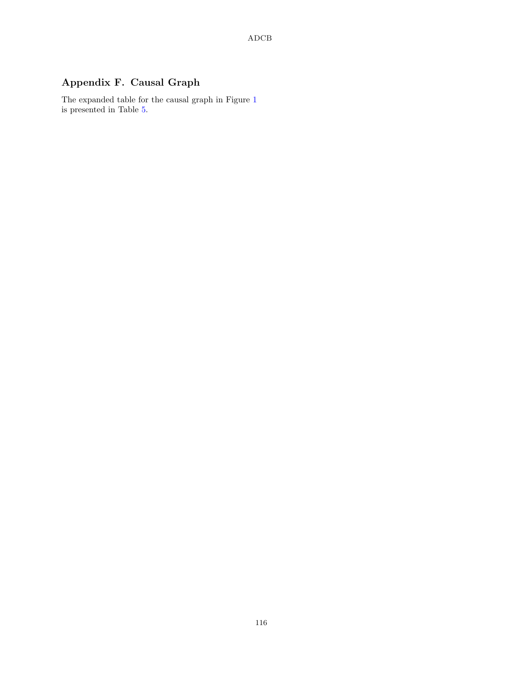# Appendix F. Causal Graph

The expanded table for the causal graph in Figure [1](#page-3-0) is presented in Table [5.](#page-15-1)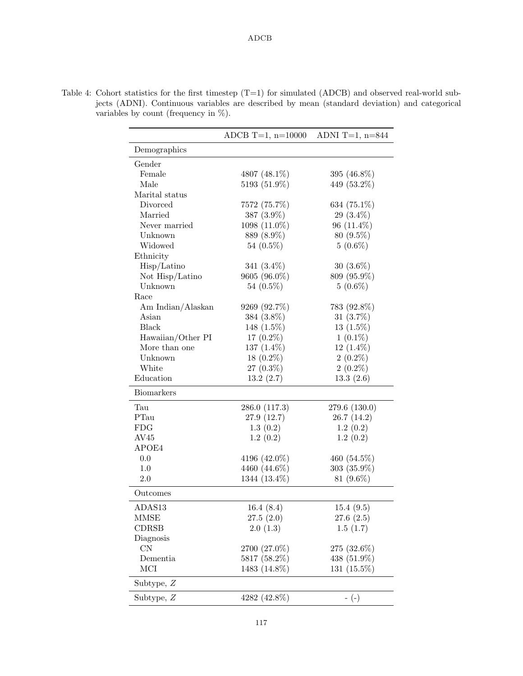|                   | ADCB T=1, $n=10000$ | ADNI T=1, $n=844$ |
|-------------------|---------------------|-------------------|
| Demographics      |                     |                   |
| Gender            |                     |                   |
| Female            | 4807 (48.1%)        | 395 (46.8%)       |
| Male              | 5193 (51.9%)        | 449 (53.2%)       |
| Marital status    |                     |                   |
| Divorced          | 7572 (75.7%)        | 634 (75.1%)       |
| Married           | 387 (3.9%)          | 29 $(3.4\%)$      |
| Never married     | 1098 (11.0%)        | $96(11.4\%)$      |
| Unknown           | 889 (8.9%)          | $80(9.5\%)$       |
| Widowed           | 54 $(0.5\%)$        | $5(0.6\%)$        |
| Ethnicity         |                     |                   |
| Hisp/Latino       | 341 $(3.4\%)$       | $30(3.6\%)$       |
| Not Hisp/Latino   | 9605 (96.0%)        | 809 (95.9%)       |
| Unknown           | 54 $(0.5\%)$        | $5(0.6\%)$        |
| Race              |                     |                   |
| Am Indian/Alaskan | 9269 (92.7%)        | 783 (92.8%)       |
| Asian             | 384 (3.8%)          | 31 $(3.7\%)$      |
| <b>Black</b>      | 148 (1.5%)          | $13(1.5\%)$       |
| Hawaiian/Other PI | 17 $(0.2\%)$        | $1(0.1\%)$        |
| More than one     | 137 $(1.4\%)$       | $12(1.4\%)$       |
| Unknown           | $18(0.2\%)$         | $2(0.2\%)$        |
| White             | $27(0.3\%)$         | $2(0.2\%)$        |
| Education         | 13.2(2.7)           | 13.3(2.6)         |
| <b>Biomarkers</b> |                     |                   |
| Tau               | 286.0 (117.3)       | 279.6 (130.0)     |
| PTau              | 27.9(12.7)          | 26.7(14.2)        |
| <b>FDG</b>        | 1.3(0.2)            | 1.2(0.2)          |
| AV45              | 1.2(0.2)            | 1.2(0.2)          |
| APOE4             |                     |                   |
| 0.0               | 4196 (42.0%)        | 460 (54.5%)       |
| 1.0               | 4460 (44.6%)        | $303(35.9\%)$     |
| 2.0               | 1344 (13.4%)        | 81 $(9.6\%)$      |
| Outcomes          |                     |                   |
| ADAS13            | 16.4(8.4)           | 15.4(9.5)         |
| MMSE              | 27.5(2.0)           | 27.6(2.5)         |
| CDRSB             | 2.0(1.3)            | 1.5(1.7)          |
| Diagnosis         |                     |                   |
| $\rm CN$          | 2700 (27.0%)        | 275 (32.6%)       |
| Dementia          | 5817 (58.2%)        | 438 $(51.9\%)$    |
| MCI               | 1483 (14.8%)        | 131 $(15.5\%)$    |
| Subtype, $Z$      |                     |                   |
| Subtype, $Z$      | 4282 (42.8%)        | $-(-)$            |

<span id="page-14-0"></span>Table 4: Cohort statistics for the first timestep (T=1) for simulated (ADCB) and observed real-world subjects (ADNI). Continuous variables are described by mean (standard deviation) and categorical variables by count (frequency in %).